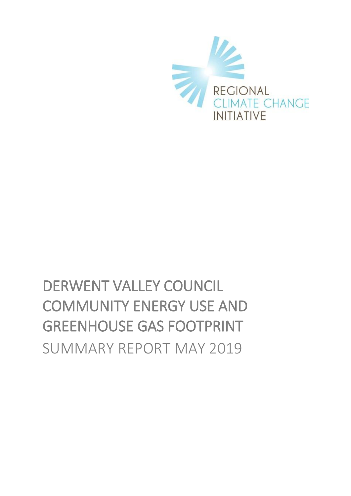

# DERWENT VALLEY COUNCIL COMMUNITY ENERGY USE AND GREENHOUSE GAS FOOTPRINT SUMMARY REPORT MAY 2019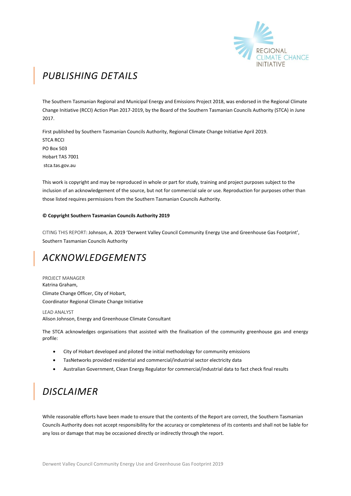

### *PUBLISHING DETAILS*

The Southern Tasmanian Regional and Municipal Energy and Emissions Project 2018, was endorsed in the Regional Climate Change Initiative (RCCI) Action Plan 2017-2019, by the Board of the Southern Tasmanian Councils Authority (STCA) in June 2017.

First published by Southern Tasmanian Councils Authority, Regional Climate Change Initiative April 2019. STCA RCCI PO Box 503 Hobart TAS 7001 stca.tas.gov.au

This work is copyright and may be reproduced in whole or part for study, training and project purposes subject to the inclusion of an acknowledgement of the source, but not for commercial sale or use. Reproduction for purposes other than those listed requires permissions from the Southern Tasmanian Councils Authority.

#### **© Copyright Southern Tasmanian Councils Authority 2019**

CITING THIS REPORT: Johnson, A. 2019 'Derwent Valley Council Community Energy Use and Greenhouse Gas Footprint', Southern Tasmanian Councils Authority

#### *ACKNOWLEDGEMENTS*

PROJECT MANAGER Katrina Graham, Climate Change Officer, City of Hobart, Coordinator Regional Climate Change Initiative

LEAD ANALYST Alison Johnson, Energy and Greenhouse Climate Consultant

The STCA acknowledges organisations that assisted with the finalisation of the community greenhouse gas and energy profile:

- City of Hobart developed and piloted the initial methodology for community emissions
- TasNetworks provided residential and commercial/industrial sector electricity data
- Australian Government, Clean Energy Regulator for commercial/industrial data to fact check final results

### *DISCLAIMER*

While reasonable efforts have been made to ensure that the contents of the Report are correct, the Southern Tasmanian Councils Authority does not accept responsibility for the accuracy or completeness of its contents and shall not be liable for any loss or damage that may be occasioned directly or indirectly through the report.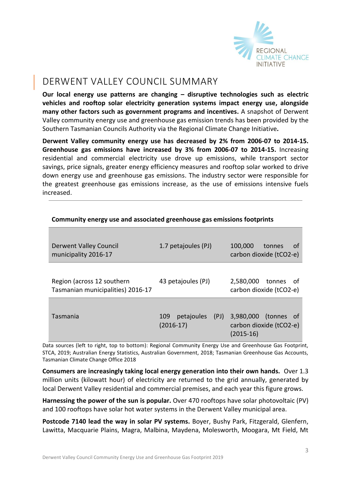

#### DERWENT VALLEY COUNCIL SUMMARY

**Our local energy use patterns are changing – disruptive technologies such as electric vehicles and rooftop solar electricity generation systems impact energy use, alongside many other factors such as government programs and incentives.** A snapshot of Derwent Valley community energy use and greenhouse gas emission trends has been provided by the Southern Tasmanian Councils Authority via the Regional Climate Change Initiative**.** 

**Derwent Valley community energy use has decreased by 2% from 2006-07 to 2014-15. Greenhouse gas emissions have increased by 3% from 2006-07 to 2014-15.** Increasing residential and commercial electricity use drove up emissions, while transport sector savings, price signals, greater energy efficiency measures and rooftop solar worked to drive down energy use and greenhouse gas emissions. The industry sector were responsible for the greatest greenhouse gas emissions increase, as the use of emissions intensive fuels increased.

| Derwent Valley Council<br>municipality 2016-17                  | 1.7 petajoules (PJ)                      | 100,000<br>0f<br>tonnes<br>carbon dioxide (tCO2-e)                |
|-----------------------------------------------------------------|------------------------------------------|-------------------------------------------------------------------|
| Region (across 12 southern<br>Tasmanian municipalities) 2016-17 | 43 petajoules (PJ)                       | 2,580,000<br>tonnes<br>– of<br>carbon dioxide (tCO2-e)            |
| Tasmania                                                        | (PJ)<br>petajoules<br>109<br>$(2016-17)$ | 3,980,000<br>(tonnes of<br>carbon dioxide (tCO2-e)<br>$(2015-16)$ |

#### **Community energy use and associated greenhouse gas emissions footprints**

Data sources (left to right, top to bottom): Regional Community Energy Use and Greenhouse Gas Footprint, STCA, 2019; Australian Energy Statistics, Australian Government, 2018; Tasmanian Greenhouse Gas Accounts, Tasmanian Climate Change Office 2018

**Consumers are increasingly taking local energy generation into their own hands.** Over 1.3 million units (kilowatt hour) of electricity are returned to the grid annually, generated by local Derwent Valley residential and commercial premises, and each year this figure grows.

**Harnessing the power of the sun is popular.** Over 470 rooftops have solar photovoltaic (PV) and 100 rooftops have solar hot water systems in the Derwent Valley municipal area.

**Postcode 7140 lead the way in solar PV systems.** Boyer, Bushy Park, Fitzgerald, Glenfern, Lawitta, Macquarie Plains, Magra, Malbina, Maydena, Molesworth, Moogara, Mt Field, Mt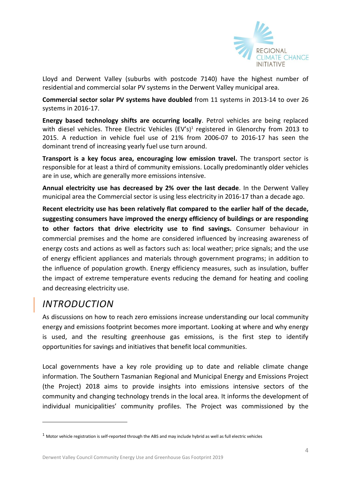

Lloyd and Derwent Valley (suburbs with postcode 7140) have the highest number of residential and commercial solar PV systems in the Derwent Valley municipal area.

**Commercial sector solar PV systems have doubled** from 11 systems in 2013-14 to over 26 systems in 2016-17.

**Energy based technology shifts are occurring locally**. Petrol vehicles are being replaced with diesel vehicles. Three Electric Vehicles (EV's)<sup>1</sup> registered in Glenorchy from 2013 to 2015. A reduction in vehicle fuel use of 21% from 2006-07 to 2016-17 has seen the dominant trend of increasing yearly fuel use turn around.

**Transport is a key focus area, encouraging low emission travel.** The transport sector is responsible for at least a third of community emissions. Locally predominantly older vehicles are in use, which are generally more emissions intensive.

**Annual electricity use has decreased by 2% over the last decade**. In the Derwent Valley municipal area the Commercial sector is using less electricity in 2016-17 than a decade ago.

**Recent electricity use has been relatively flat compared to the earlier half of the decade, suggesting consumers have improved the energy efficiency of buildings or are responding to other factors that drive electricity use to find savings.** Consumer behaviour in commercial premises and the home are considered influenced by increasing awareness of energy costs and actions as well as factors such as: local weather; price signals; and the use of energy efficient appliances and materials through government programs; in addition to the influence of population growth. Energy efficiency measures, such as insulation, buffer the impact of extreme temperature events reducing the demand for heating and cooling and decreasing electricity use.

### *INTRODUCTION*

-

As discussions on how to reach zero emissions increase understanding our local community energy and emissions footprint becomes more important. Looking at where and why energy is used, and the resulting greenhouse gas emissions, is the first step to identify opportunities for savings and initiatives that benefit local communities.

Local governments have a key role providing up to date and reliable climate change information. The Southern Tasmanian Regional and Municipal Energy and Emissions Project (the Project) 2018 aims to provide insights into emissions intensive sectors of the community and changing technology trends in the local area. It informs the development of individual municipalities' community profiles. The Project was commissioned by the

 $1$  Motor vehicle registration is self-reported through the ABS and may include hybrid as well as full electric vehicles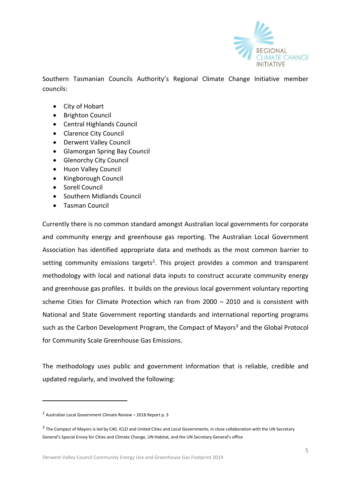

Southern Tasmanian Councils Authority's Regional Climate Change Initiative member councils:

- City of [Hobart](http://www.hobartcity.com.au/)
- [Brighton Council](http://www.brighton.tas.gov.au/)
- [Central Highlands Council](http://www.centralhighlands.tas.gov.au/site/page.cfm)
- [Clarence City Council](http://www.ccc.tas.gov.au/)
- [Derwent Valley Council](http://www.derwentvalley.tas.gov.au/)
- [Glamorgan Spring Bay Council](http://www.gsbc.tas.gov.au/site/page.cfm)
- [Glenorchy City Council](http://www.gcc.tas.gov.au/)
- [Huon Valley Council](http://www.huonvalley.tas.gov.au/)
- [Kingborough Council](http://www.kingborough.tas.gov.au/)
- [Sorell Council](http://www.sorell.tas.gov.au/)
- [Southern Midlands Council](http://www.southernmidlands.tas.gov.au/site/page.cfm)
- [Tasman Council](http://www.tasman.tas.gov.au/site/page.cfm)

Currently there is no common standard amongst Australian local governments for corporate and community energy and greenhouse gas reporting. The Australian Local Government Association has identified appropriate data and methods as the most common barrier to setting community emissions targets<sup>2</sup>. This project provides a common and transparent methodology with local and national data inputs to construct accurate community energy and greenhouse gas profiles. It builds on the previous local government voluntary reporting scheme Cities for Climate Protection which ran from 2000 – 2010 and is consistent with National and State Government reporting standards and international reporting programs such as the Carbon Development Program, the Compact of Mayors<sup>3</sup> and the Global Protocol for Community Scale Greenhouse Gas Emissions.

The methodology uses public and government information that is reliable, credible and updated regularly, and involved the following:

<sup>2</sup> Australian Local Government Climate Review – 2018 Report p. 3

 $3$  The Compact of Mayors is led by C40, ICLEI and United Cities and Local Governments, in close collaboration with the UN Secretary General's Special Envoy for Cities and Climate Change, UN Habitat, and the UN Secretary General's office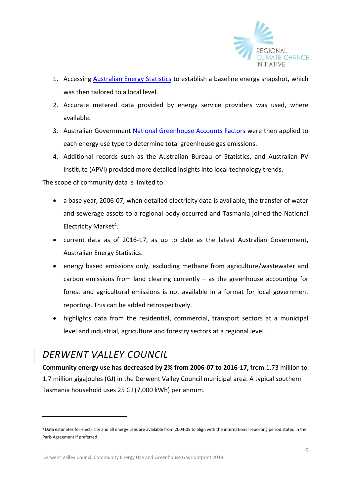

- 1. Accessing [Australian Energy Statistics](https://industry.gov.au/Office-of-the-Chief-Economist/Publications/Pages/Australian-energy-statistics.aspx) to establish a baseline energy snapshot, which was then tailored to a local level.
- 2. Accurate metered data provided by energy service providers was used, where available.
- 3. Australian Government [National Greenhouse Accounts Factors](http://www.environment.gov.au/climate-change/climate-science-data/greenhouse-gas-measurement/publications/national-greenhouse-accounts-factors-july-2017) were then applied to each energy use type to determine total greenhouse gas emissions.
- 4. Additional records such as the Australian Bureau of Statistics, and Australian PV Institute (APVI) provided more detailed insights into local technology trends.

The scope of community data is limited to:

- a base year, 2006-07, when detailed electricity data is available, the transfer of water and sewerage assets to a regional body occurred and Tasmania joined the National Electricity Market<sup>4</sup>.
- current data as of 2016-17, as up to date as the latest Australian Government, Australian Energy Statistics.
- energy based emissions only, excluding methane from agriculture/wastewater and carbon emissions from land clearing currently  $-$  as the greenhouse accounting for forest and agricultural emissions is not available in a format for local government reporting. This can be added retrospectively.
- highlights data from the residential, commercial, transport sectors at a municipal level and industrial, agriculture and forestry sectors at a regional level.

### *DERWENT VALLEY COUNCIL*

-

**Community energy use has decreased by 2% from 2006-07 to 2016-17,** from 1.73 million to 1.7 million gigajoules (GJ) in the Derwent Valley Council municipal area. A typical southern Tasmania household uses 25 GJ (7,000 kWh) per annum.

<sup>4</sup> Data estimates for electricity and all energy uses are available from 2004-05 to align with the international reporting period stated in the Paris Agreement if preferred.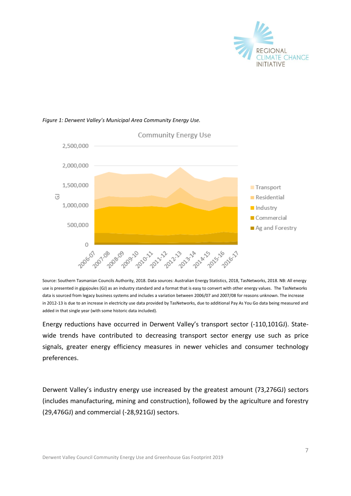

**Transport** 

Residential

Ag and Forestry

Industry Commercial

## **Community Energy Use** 2,500,000 2.000.000

*Figure 1: Derwent Valley's Municipal Area Community Energy Use.* 

loacon

1.500.000

1.000.000

500.000

0

 $\overline{G}$ 

Source: Southern Tasmanian Councils Authority, 2018. Data sources: Australian Energy Statistics, 2018, TasNetworks, 2018. NB: All energy use is presented in gigajoules (GJ) as an industry standard and a format that is easy to convert with other energy values. The TasNetworks data is sourced from legacy business systems and includes a variation between 2006/07 and 2007/08 for reasons unknown. The increase in 2012-13 is due to an increase in electricity use data provided by TasNetworks, due to additional Pay As You Go data being measured and added in that single year (with some historic data included).

Energy reductions have occurred in Derwent Valley's transport sector (-110,101GJ). Statewide trends have contributed to decreasing transport sector energy use such as price signals, greater energy efficiency measures in newer vehicles and consumer technology preferences.

Derwent Valley's industry energy use increased by the greatest amount (73,276GJ) sectors (includes manufacturing, mining and construction), followed by the agriculture and forestry (29,476GJ) and commercial (-28,921GJ) sectors.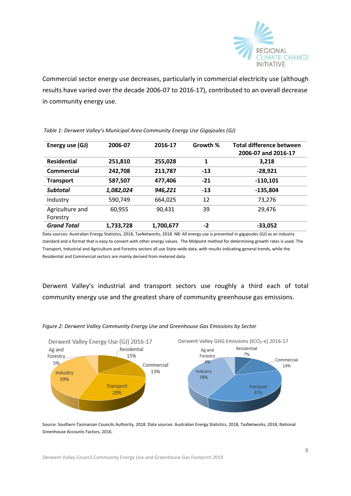

Commercial sector energy use decreases, particularly in commercial electricity use (although results have varied over the decade 2006-07 to 2016-17), contributed to an overall decrease in community energy use.

| Energy use (GJ)    | 2006-07   | 2016-17   | Growth % | Total difference between<br>2006-07 and 2016-17 |
|--------------------|-----------|-----------|----------|-------------------------------------------------|
| <b>Residential</b> | 251,810   | 255,028   | 1        | 3,218                                           |
| <b>Commercial</b>  | 242,708   | 213,787   | $-13$    | $-28,921$                                       |
| <b>Transport</b>   | 587,507   | 477,406   | $-21$    | $-110,101$                                      |
| <b>Subtotal</b>    | 1,082,024 | 946,221   | $-13$    | $-135,804$                                      |
| Industry           | 590,749   | 664,025   | 12       | 73,276                                          |
| Agriculture and    | 60,955    | 90,431    | 39       | 29,476                                          |
| Forestry           |           |           |          |                                                 |
| <b>Grand Total</b> | 1,733,728 | 1,700,677 | $-2$     | $-33,052$                                       |

*Table 1: Derwent Valley's Municipal Area Community Energy Use Gigajoules (GJ)*

Data sources: Australian Energy Statistics, 2018, TasNetworks, 2018. NB: All energy use is presented in gigajoules (GJ) as an industry standard and a format that is easy to convert with other energy values. The Midpoint method for determining growth rates is used. The Transport, Industrial and Agriculture and Forestry sectors all use State-wide data, with results indicating general trends, while the Residential and Commercial sectors are mainly derived from metered data.

Derwent Valley's industrial and transport sectors use roughly a third each of total community energy use and the greatest share of community greenhouse gas emissions.



#### *Figure 2: Derwent Valley Community Energy Use and Greenhouse Gas Emissions by Sector*

Source: Southern Tasmanian Councils Authority, 2018. Data sources: Australian Energy Statistics, 2018, TasNetworks, 2018, National Greenhouse Accounts Factors, 2016.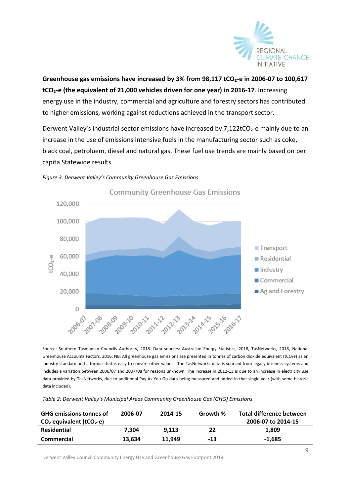

**Greenhouse gas emissions have increased by 3% from 98,117 tCO₂-e in 2006-07 to 100,617 tCO₂-e (the equivalent of 21,000 vehicles driven for one year) in 2016-17**. Increasing energy use in the industry, commercial and agriculture and forestry sectors has contributed to higher emissions, working against reductions achieved in the transport sector.

Derwent Valley's industrial sector emissions have increased by 7,122tCO<sub>2</sub>-e mainly due to an increase in the use of emissions intensive fuels in the manufacturing sector such as coke, black coal, petroluem, diesel and natural gas. These fuel use trends are mainly based on per capita Statewide results.



*Figure 3: Derwent Valley's Community Greenhouse Gas Emissions*

Source: Southern Tasmanian Councils Authority, 2018. Data sources: Australian Energy Statistics, 2018, TasNetworks, 2018, National Greenhouse Accounts Factors, 2016. NB: All greenhouse gas emissions are presented in tonnes of carbon dioxide equivalent (tCO₂e) as an industry standard and a format that is easy to convert other values.The TasNetworks data is sourced from legacy business systems and includes a variation between 2006/07 and 2007/08 for reasons unknown. The increase in 2012-13 is due to an increase in electricity use data provided by TasNetworks, due to additional Pay As You Go data being measured and added in that single year (with some historic data included).

| <b>GHG emissions tonnes of</b><br>$CO2$ equivalent (tCO <sub>2</sub> -e) | 2006-07 | 2014-15 | Growth % | Total difference between<br>2006-07 to 2014-15 |
|--------------------------------------------------------------------------|---------|---------|----------|------------------------------------------------|
| Residential                                                              | 7.304   | 9.113   | 22       | 1.809                                          |
| Commercial                                                               | 13.634  | 11.949  | $-13$    | -1.685                                         |

*Table 2: Derwent Valley's Municipal Areas Community Greenhouse Gas (GHG) Emissions*

Derwent Valley Council Community Energy Use and Greenhouse Gas Footprint 2019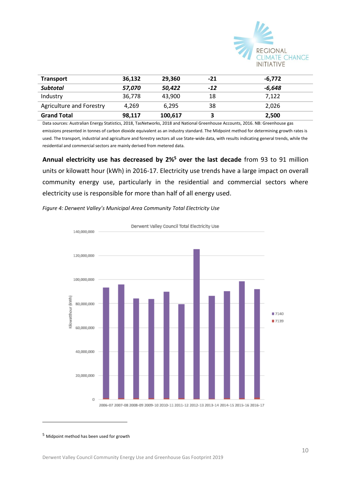

| <b>Transport</b>         | 36.132 | 29.360  | $-21$ | -6,772 |
|--------------------------|--------|---------|-------|--------|
| <b>Subtotal</b>          | 57.070 | 50,422  | $-12$ | -6.648 |
| Industry                 | 36,778 | 43.900  | 18    | 7.122  |
| Agriculture and Forestry | 4.269  | 6.295   | 38    | 2.026  |
| <b>Grand Total</b>       | 98,117 | 100,617 |       | 2,500  |

Data sources: Australian Energy Statistics, 2018, TasNetworks, 2018 and National Greenhouse Accounts, 2016. NB: Greenhouse gas emissions presented in tonnes of carbon dioxide equivalent as an industry standard. The Midpoint method for determining growth rates is used. The transport, industrial and agriculture and forestry sectors all use State-wide data, with results indicating general trends, while the residential and commercial sectors are mainly derived from metered data.

**Annual electricity use has decreased by 2%<sup>5</sup> over the last decade** from 93 to 91 million units or kilowatt hour (kWh) in 2016-17. Electricity use trends have a large impact on overall community energy use, particularly in the residential and commercial sectors where electricity use is responsible for more than half of all energy used.



*Figure 4: Derwent Valley's Municipal Area Community Total Electricity Use*

<sup>5</sup> Midpoint method has been used for growth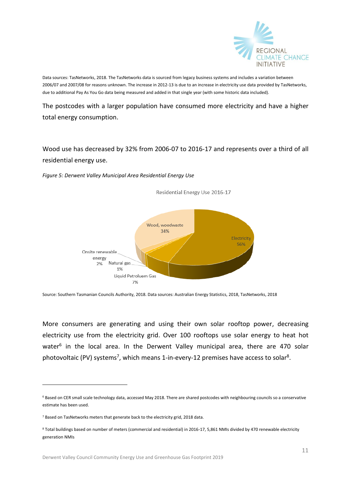

Data sources: TasNetworks, 2018. The TasNetworks data is sourced from legacy business systems and includes a variation between 2006/07 and 2007/08 for reasons unknown. The increase in 2012-13 is due to an increase in electricity use data provided by TasNetworks, due to additional Pay As You Go data being measured and added in that single year (with some historic data included).

The postcodes with a larger population have consumed more electricity and have a higher total energy consumption.

Wood use has decreased by 32% from 2006-07 to 2016-17 and represents over a third of all residential energy use.

Residential Energy Use 2016-17



*Figure 5: Derwent Valley Municipal Area Residential Energy Use*

Source: Southern Tasmanian Councils Authority, 2018. Data sources: Australian Energy Statistics, 2018, TasNetworks, 2018

More consumers are generating and using their own solar rooftop power, decreasing electricity use from the electricity grid. Over 100 rooftops use solar energy to heat hot water<sup>6</sup> in the local area. In the Derwent Valley municipal area, there are 470 solar photovoltaic (PV) systems<sup>7</sup>, which means 1-in-every-12 premises have access to solar<sup>8</sup>.

<sup>6</sup> Based on CER small scale technology data, accessed May 2018. There are shared postcodes with neighbouring councils so a conservative estimate has been used.

 $7$  Based on TasNetworks meters that generate back to the electricity grid, 2018 data.

<sup>8</sup> Total buildings based on number of meters (commercial and residential) in 2016-17, 5,861 NMIs divided by 470 renewable electricity generation NMIs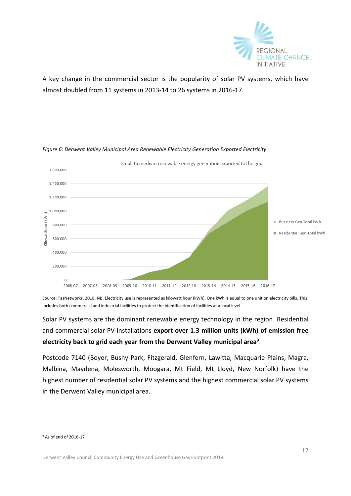

A key change in the commercial sector is the popularity of solar PV systems, which have almost doubled from 11 systems in 2013-14 to 26 systems in 2016-17.



*Figure 6: Derwent Valley Municipal Area Renewable Electricity Generation Exported Electricity* 

Source: TasNetworks, 2018. NB: Electricity use is represented as kilowatt hour (kWh). One kWh is equal to one unit on electricity bills. This includes both commercial and industrial facilities to protect the identification of facilities at a local level.

Solar PV systems are the dominant renewable energy technology in the region. Residential and commercial solar PV installations **export over 1.3 million units (kWh) of emission free**  electricity back to grid each year from the Derwent Valley municipal area<sup>9</sup>.

Postcode 7140 (Boyer, Bushy Park, Fitzgerald, Glenfern, Lawitta, Macquarie Plains, Magra, Malbina, Maydena, Molesworth, Moogara, Mt Field, Mt Lloyd, New Norfolk) have the highest number of residential solar PV systems and the highest commercial solar PV systems in the Derwent Valley municipal area.

<sup>9</sup> As of end of 2016-17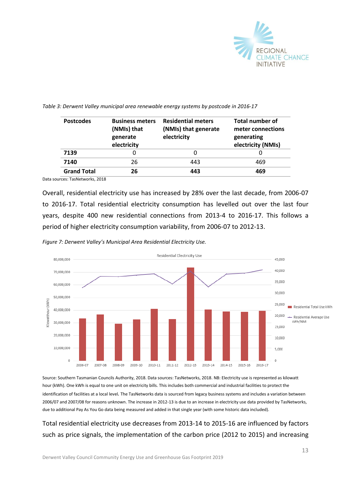

|  |  | Table 3: Derwent Valley municipal area renewable energy systems by postcode in 2016-17 |
|--|--|----------------------------------------------------------------------------------------|
|--|--|----------------------------------------------------------------------------------------|

| <b>Postcodes</b>   | <b>Business meters</b><br>(NMIs) that<br>generate<br>electricity | <b>Residential meters</b><br>(NMIs) that generate<br>electricity | <b>Total number of</b><br>meter connections<br>generating<br>electricity (NMIs) |
|--------------------|------------------------------------------------------------------|------------------------------------------------------------------|---------------------------------------------------------------------------------|
| 7139               | 0                                                                |                                                                  | O                                                                               |
| 7140               | 26                                                               | 443                                                              | 469                                                                             |
| <b>Grand Total</b> | 26                                                               | 443                                                              | 469                                                                             |

Data sources: TasNetworks, 2018

Overall, residential electricity use has increased by 28% over the last decade, from 2006-07 to 2016-17. Total residential electricity consumption has levelled out over the last four years, despite 400 new residential connections from 2013-4 to 2016-17. This follows a period of higher electricity consumption variability, from 2006-07 to 2012-13.

*Figure 7: Derwent Valley's Municipal Area Residential Electricity Use.* 



Source: Southern Tasmanian Councils Authority, 2018. Data sources: TasNetworks, 2018. NB: Electricity use is represented as kilowatt hour (kWh). One kWh is equal to one unit on electricity bills. This includes both commercial and industrial facilities to protect the identification of facilities at a local level*.* The TasNetworks data is sourced from legacy business systems and includes a variation between 2006/07 and 2007/08 for reasons unknown. The increase in 2012-13 is due to an increase in electricity use data provided by TasNetworks, due to additional Pay As You Go data being measured and added in that single year (with some historic data included).

Total residential electricity use decreases from 2013-14 to 2015-16 are influenced by factors such as price signals, the implementation of the carbon price (2012 to 2015) and increasing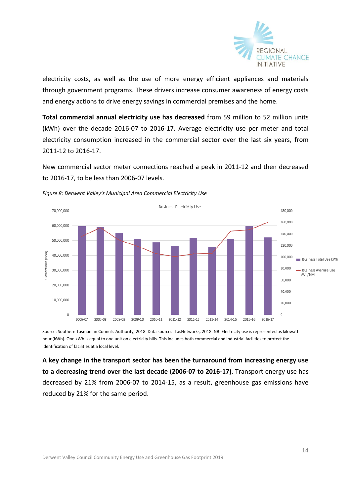

electricity costs, as well as the use of more energy efficient appliances and materials through government programs. These drivers increase consumer awareness of energy costs and energy actions to drive energy savings in commercial premises and the home.

**Total commercial annual electricity use has decreased** from 59 million to 52 million units (kWh) over the decade 2016-07 to 2016-17. Average electricity use per meter and total electricity consumption increased in the commercial sector over the last six years, from 2011-12 to 2016-17.

New commercial sector meter connections reached a peak in 2011-12 and then decreased to 2016-17, to be less than 2006-07 levels.



*Figure 8: Derwent Valley's Municipal Area Commercial Electricity Use*

Source: Southern Tasmanian Councils Authority, 2018. Data sources: TasNetworks, 2018. NB: Electricity use is represented as kilowatt hour (kWh). One kWh is equal to one unit on electricity bills. This includes both commercial and industrial facilities to protect the identification of facilities at a local level.

**A key change in the transport sector has been the turnaround from increasing energy use to a decreasing trend over the last decade (2006-07 to 2016-17)**. Transport energy use has decreased by 21% from 2006-07 to 2014-15, as a result, greenhouse gas emissions have reduced by 21% for the same period.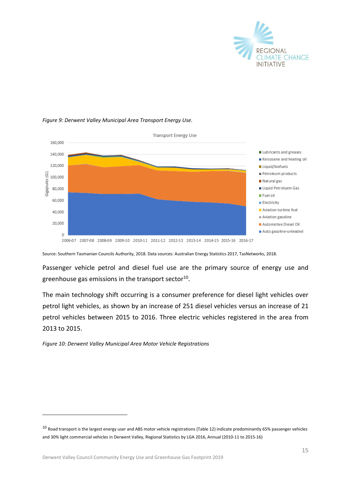



#### *Figure 9: Derwent Valley Municipal Area Transport Energy Use.*

Source: Southern Tasmanian Councils Authority, 2018. Data sources: Australian Energy Statistics 2017, TasNetworks, 2018.

Passenger vehicle petrol and diesel fuel use are the primary source of energy use and greenhouse gas emissions in the transport sector $^{10}$ .

The main technology shift occurring is a consumer preference for diesel light vehicles over petrol light vehicles, as shown by an increase of 251 diesel vehicles versus an increase of 21 petrol vehicles between 2015 to 2016. Three electric vehicles registered in the area from 2013 to 2015.

*Figure 10: Derwent Valley Municipal Area Motor Vehicle Registrations*

 $10$  Road transport is the largest energy user and ABS motor vehicle registrations (Table 12) indicate predominantly 65% passenger vehicles and 30% light commercial vehicles in Derwent Valley, Regional Statistics by LGA 2016, Annual (2010-11 to 2015-16)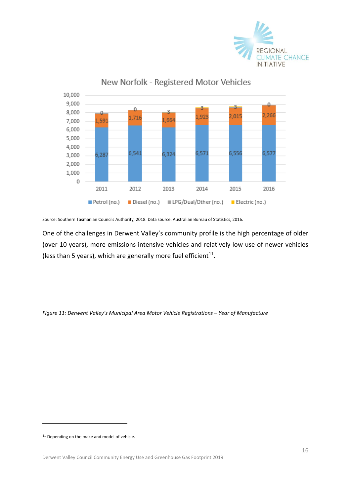



New Norfolk - Registered Motor Vehicles

Source: Southern Tasmanian Councils Authority, 2018. Data source: Australian Bureau of Statistics, 2016.

One of the challenges in Derwent Valley's community profile is the high percentage of older (over 10 years), more emissions intensive vehicles and relatively low use of newer vehicles (less than 5 years), which are generally more fuel efficient $11$ .

*Figure 11: Derwent Valley's Municipal Area Motor Vehicle Registrations – Year of Manufacture*

**.** 

<sup>&</sup>lt;sup>11</sup> Depending on the make and model of vehicle.